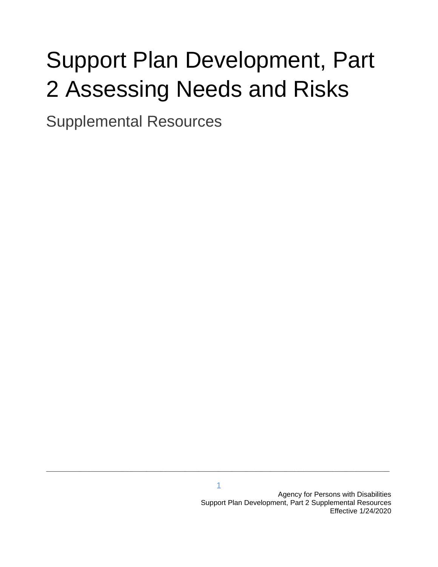# Support Plan Development, Part 2 Assessing Needs and Risks

Supplemental Resources

**\_\_\_\_\_\_\_\_\_\_\_\_\_\_\_\_\_\_\_\_\_\_\_\_\_\_\_\_\_\_\_\_\_\_\_\_\_\_\_\_\_\_\_\_\_\_\_\_\_\_\_\_\_\_\_\_\_\_\_\_\_\_\_\_\_\_\_\_\_\_\_\_**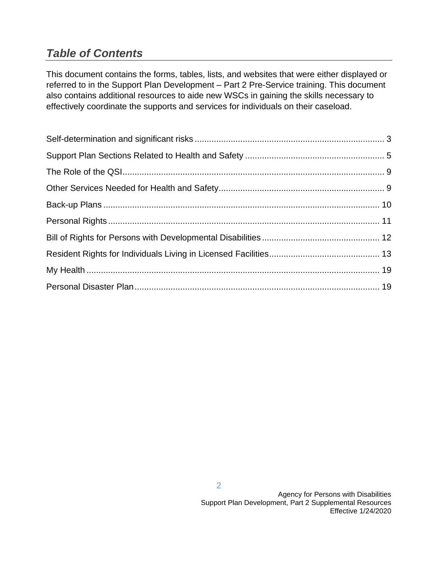# *Table of Contents*

This document contains the forms, tables, lists, and websites that were either displayed or referred to in the Support Plan Development – Part 2 Pre-Service training. This document also contains additional resources to aide new WSCs in gaining the skills necessary to effectively coordinate the supports and services for individuals on their caseload.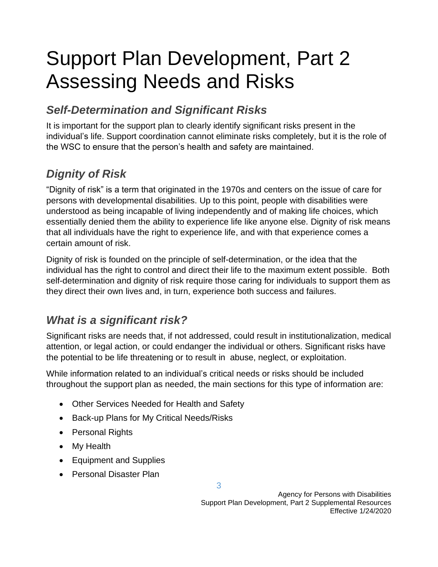# Support Plan Development, Part 2 Assessing Needs and Risks

# *Self-Determination and Significant Risks*

It is important for the support plan to clearly identify significant risks present in the individual's life. Support coordination cannot eliminate risks completely, but it is the role of the WSC to ensure that the person's health and safety are maintained.

# *Dignity of Risk*

"Dignity of risk" is a term that originated in the 1970s and centers on the issue of care for persons with developmental disabilities. Up to this point, people with disabilities were understood as being incapable of living independently and of making life choices, which essentially denied them the ability to experience life like anyone else. Dignity of risk means that all individuals have the right to experience life, and with that experience comes a certain amount of risk.

Dignity of risk is founded on the principle of self-determination, or the idea that the individual has the right to control and direct their life to the maximum extent possible. Both self-determination and dignity of risk require those caring for individuals to support them as they direct their own lives and, in turn, experience both success and failures.

# *What is a significant risk?*

Significant risks are needs that, if not addressed, could result in institutionalization, medical attention, or legal action, or could endanger the individual or others. Significant risks have the potential to be life threatening or to result in abuse, neglect, or exploitation.

While information related to an individual's critical needs or risks should be included throughout the support plan as needed, the main sections for this type of information are:

3

- Other Services Needed for Health and Safety
- Back-up Plans for My Critical Needs/Risks
- Personal Rights
- My Health
- Equipment and Supplies
- Personal Disaster Plan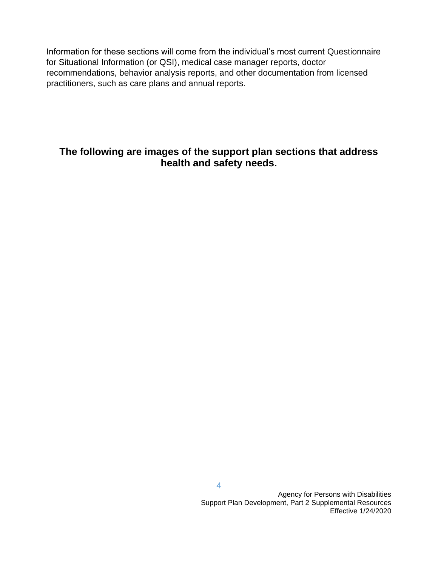Information for these sections will come from the individual's most current Questionnaire for Situational Information (or QSI), medical case manager reports, doctor recommendations, behavior analysis reports, and other documentation from licensed practitioners, such as care plans and annual reports.

#### **The following are images of the support plan sections that address health and safety needs.**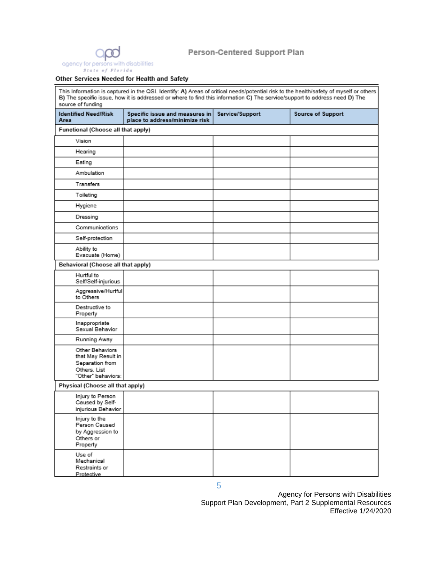

#### Person-Centered Support Plan

#### Other Services Needed for Health and Safety

This Information is captured in the QSI. Identify: A) Areas of critical needs/potential risk to the health/safety of myself or others<br>B) The specific issue, how it is addressed or where to find this information C) The serv source of funding

| <b>Identified Need/Risk</b><br>Area                                                            | Specific issue and measures in<br>place to address/minimize risk | Service/Support | <b>Source of Support</b> |
|------------------------------------------------------------------------------------------------|------------------------------------------------------------------|-----------------|--------------------------|
| Functional (Choose all that apply)                                                             |                                                                  |                 |                          |
| Vision                                                                                         |                                                                  |                 |                          |
| Hearing                                                                                        |                                                                  |                 |                          |
| Eating                                                                                         |                                                                  |                 |                          |
| Ambulation                                                                                     |                                                                  |                 |                          |
| Transfers                                                                                      |                                                                  |                 |                          |
| Toileting                                                                                      |                                                                  |                 |                          |
| Hygiene                                                                                        |                                                                  |                 |                          |
| Dressing                                                                                       |                                                                  |                 |                          |
| Communications                                                                                 |                                                                  |                 |                          |
| Self-protection                                                                                |                                                                  |                 |                          |
| Ability to<br>Evacuate (Home)                                                                  |                                                                  |                 |                          |
| Behavioral (Choose all that apply)                                                             |                                                                  |                 |                          |
| Hurtful to<br>Self/Self-injurious                                                              |                                                                  |                 |                          |
| Aggressive/Hurtful<br>to Others                                                                |                                                                  |                 |                          |
| Destructive to<br>Property                                                                     |                                                                  |                 |                          |
| Inappropriate<br>Sexual Behavior                                                               |                                                                  |                 |                          |
| Running Away                                                                                   |                                                                  |                 |                          |
| Other Behaviors<br>that May Result in<br>Separation from<br>Others. List<br>"Other" behaviors: |                                                                  |                 |                          |
| Physical (Choose all that apply)                                                               |                                                                  |                 |                          |
| Injury to Person<br>Caused by Self-<br>injurious Behavior                                      |                                                                  |                 |                          |
| Injury to the<br>Person Caused<br>by Aggression to<br>Others or<br>Property                    |                                                                  |                 |                          |
| Use of<br>Mechanical<br>Restraints or<br>Protective                                            |                                                                  |                 |                          |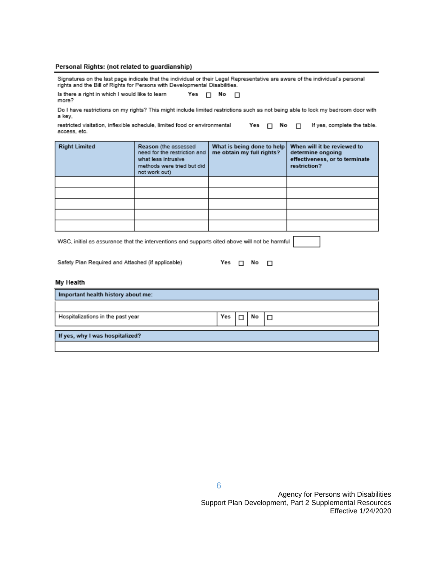#### Personal Rights: (not related to guardianship)

Signatures on the last page indicate that the individual or their Legal Representative are aware of the individual's personal rights and the Bill of Rights for Persons with Developmental Disabilities.

| Is there a right in which I would like to learn | Yes $\Box$ No $\Box$ |  |  |
|-------------------------------------------------|----------------------|--|--|
| more?                                           |                      |  |  |

Do I have restrictions on my rights? This might include limited restrictions such as not being able to lock my bedroom door with a key,

| restricted visitation, inflexible schedule, limited food or environmental |  |  | Yes $\Box$ No $\Box$ If yes, complete the table. |
|---------------------------------------------------------------------------|--|--|--------------------------------------------------|
| access, etc.                                                              |  |  |                                                  |

| <b>Right Limited</b> | Reason (the assessed<br>need for the restriction and<br>what less intrusive<br>methods were tried but did<br>not work out) | What is being done to help<br>me obtain my full rights? | When will it be reviewed to<br>determine ongoing<br>effectiveness, or to terminate<br>restriction? |
|----------------------|----------------------------------------------------------------------------------------------------------------------------|---------------------------------------------------------|----------------------------------------------------------------------------------------------------|
|                      |                                                                                                                            |                                                         |                                                                                                    |
|                      |                                                                                                                            |                                                         |                                                                                                    |
|                      |                                                                                                                            |                                                         |                                                                                                    |
|                      |                                                                                                                            |                                                         |                                                                                                    |
|                      |                                                                                                                            |                                                         |                                                                                                    |

WSC, initial as assurance that the interventions and supports cited above will not be harmful

|--|--|--|

#### My Health

| Important health history about me: |     |    |  |
|------------------------------------|-----|----|--|
|                                    |     |    |  |
| Hospitalizations in the past year  | Yes | No |  |
| If yes, why I was hospitalized?    |     |    |  |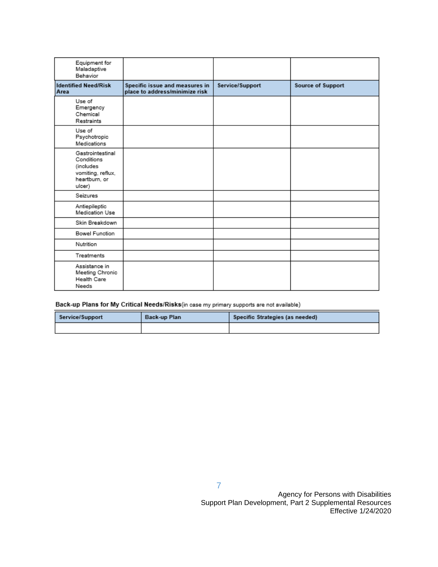| Equipment for<br>Maladaptive<br>Behavior                                                    |                                                                  |                 |                   |
|---------------------------------------------------------------------------------------------|------------------------------------------------------------------|-----------------|-------------------|
| <b>Identified Need/Risk</b><br>Area                                                         | Specific issue and measures in<br>place to address/minimize risk | Service/Support | Source of Support |
| Use of<br>Emergency<br>Chemical<br>Restraints                                               |                                                                  |                 |                   |
| Use of<br>Psychotropic<br>Medications                                                       |                                                                  |                 |                   |
| Gastrointestinal<br>Conditions<br>(includes<br>vomiting, reflux,<br>heartburn, or<br>ulcer) |                                                                  |                 |                   |
| Seizures                                                                                    |                                                                  |                 |                   |
| Antiepileptic<br>Medication Use                                                             |                                                                  |                 |                   |
| Skin Breakdown                                                                              |                                                                  |                 |                   |
| <b>Bowel Function</b>                                                                       |                                                                  |                 |                   |
| Nutrition                                                                                   |                                                                  |                 |                   |
| Treatments                                                                                  |                                                                  |                 |                   |
| Assistance in<br>Meeting Chronic<br>Health Care<br>Needs                                    |                                                                  |                 |                   |

Back-up Plans for My Critical Needs/Risks(in case my primary supports are not available)

| Service/Support | Back-up Plan | Specific Strategies (as needed) |
|-----------------|--------------|---------------------------------|
|                 |              |                                 |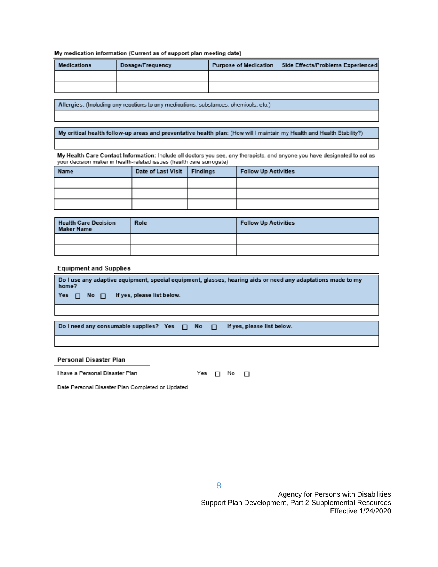#### My medication information (Current as of support plan meeting date)

| <b>Medications</b> | Dosage/Frequency | Purpose of Medication | Side Effects/Problems Experienced |
|--------------------|------------------|-----------------------|-----------------------------------|
|                    |                  |                       |                                   |
|                    |                  |                       |                                   |

Allergies: (Including any reactions to any medications, substances, chemicals, etc.)

My critical health follow-up areas and preventative health plan: (How will I maintain my Health and Health Stability?)

My Health Care Contact Information: Include all doctors you see, any therapists, and anyone you have designated to act as<br>your decision maker in health-related issues (health care surrogate)

| Name | Date of Last Visit   Findings | <b>Follow Up Activities</b> |
|------|-------------------------------|-----------------------------|
|      |                               |                             |
|      |                               |                             |
|      |                               |                             |

| Health Care Decision<br>Maker Name | Role | <b>Follow Up Activities</b> |
|------------------------------------|------|-----------------------------|
|                                    |      |                             |
|                                    |      |                             |

#### **Equipment and Supplies**

| Do I use any adaptive equipment, special equipment, glasses, hearing aids or need any adaptations made to my<br>home? |  |  |                                                          |  |
|-----------------------------------------------------------------------------------------------------------------------|--|--|----------------------------------------------------------|--|
|                                                                                                                       |  |  | $\forall$ es $\Box$ No $\Box$ If yes, please list below. |  |
|                                                                                                                       |  |  |                                                          |  |

Do I need any consumable supplies? Yes  $\Box$  No  $\Box$  If yes, please list below.

#### Personal Disaster Plan

| I have a Personal Disaster Plan |
|---------------------------------|
|---------------------------------|

Yes  $\Box$  No  $\Box$ 

Date Personal Disaster Plan Completed or Updated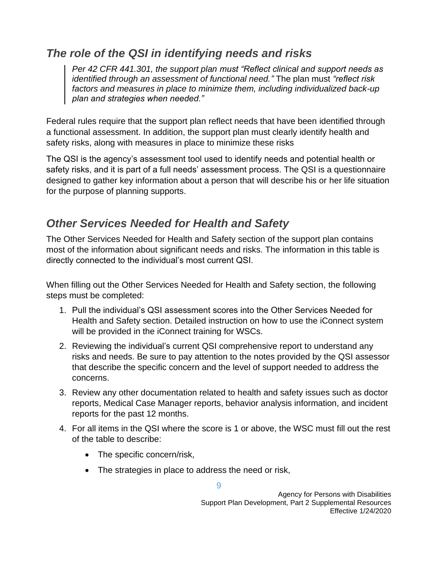# *The role of the QSI in identifying needs and risks*

*Per 42 CFR 441.301, the support plan must "Reflect clinical and support needs as identified through an assessment of functional need."* The plan must *"reflect risk factors and measures in place to minimize them, including individualized back-up plan and strategies when needed."* 

Federal rules require that the support plan reflect needs that have been identified through a functional assessment. In addition, the support plan must clearly identify health and safety risks, along with measures in place to minimize these risks

The QSI is the agency's assessment tool used to identify needs and potential health or safety risks, and it is part of a full needs' assessment process. The QSI is a questionnaire designed to gather key information about a person that will describe his or her life situation for the purpose of planning supports.

### *Other Services Needed for Health and Safety*

The Other Services Needed for Health and Safety section of the support plan contains most of the information about significant needs and risks. The information in this table is directly connected to the individual's most current QSI.

When filling out the Other Services Needed for Health and Safety section, the following steps must be completed:

- 1. Pull the individual's QSI assessment scores into the Other Services Needed for Health and Safety section. Detailed instruction on how to use the iConnect system will be provided in the iConnect training for WSCs.
- 2. Reviewing the individual's current QSI comprehensive report to understand any risks and needs. Be sure to pay attention to the notes provided by the QSI assessor that describe the specific concern and the level of support needed to address the concerns.
- 3. Review any other documentation related to health and safety issues such as doctor reports, Medical Case Manager reports, behavior analysis information, and incident reports for the past 12 months.
- 4. For all items in the QSI where the score is 1 or above, the WSC must fill out the rest of the table to describe:
	- The specific concern/risk,
	- The strategies in place to address the need or risk,

9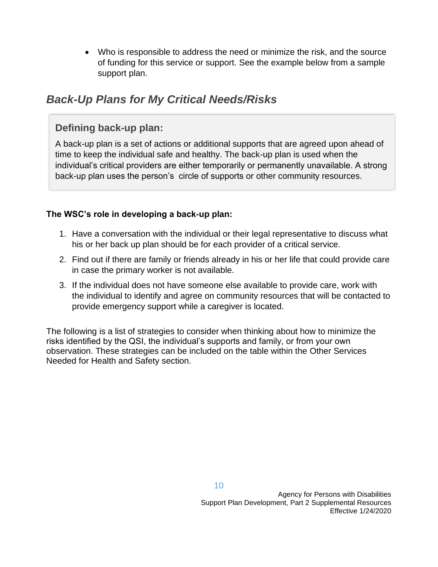• Who is responsible to address the need or minimize the risk, and the source of funding for this service or support. See the example below from a sample support plan.

### *Back-Up Plans for My Critical Needs/Risks*

#### **Defining back-up plan:**

A back-up plan is a set of actions or additional supports that are agreed upon ahead of time to keep the individual safe and healthy. The back-up plan is used when the individual's critical providers are either temporarily or permanently unavailable. A strong back-up plan uses the person's circle of supports or other community resources.

#### **The WSC's role in developing a back-up plan:**

- 1. Have a conversation with the individual or their legal representative to discuss what his or her back up plan should be for each provider of a critical service.
- 2. Find out if there are family or friends already in his or her life that could provide care in case the primary worker is not available.
- 3. If the individual does not have someone else available to provide care, work with the individual to identify and agree on community resources that will be contacted to provide emergency support while a caregiver is located.

The following is a list of strategies to consider when thinking about how to minimize the risks identified by the QSI, the individual's supports and family, or from your own observation. These strategies can be included on the table within the Other Services Needed for Health and Safety section.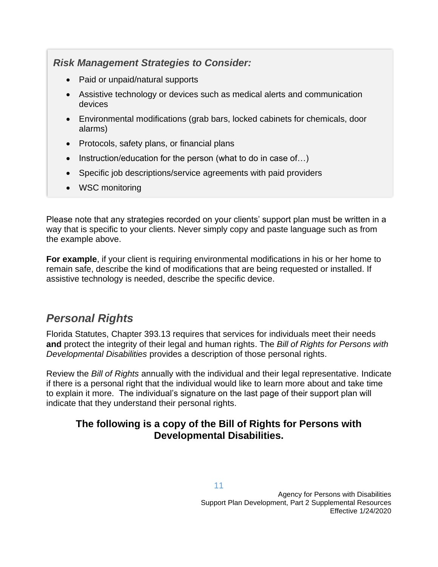### *Risk Management Strategies to Consider:*

- Paid or unpaid/natural supports
- Assistive technology or devices such as medical alerts and communication devices
- Environmental modifications (grab bars, locked cabinets for chemicals, door alarms)
- Protocols, safety plans, or financial plans
- Instruction/education for the person (what to do in case of...)
- Specific job descriptions/service agreements with paid providers
- WSC monitoring

Please note that any strategies recorded on your clients' support plan must be written in a way that is specific to your clients. Never simply copy and paste language such as from the example above.

**For example**, if your client is requiring environmental modifications in his or her home to remain safe, describe the kind of modifications that are being requested or installed. If assistive technology is needed, describe the specific device.

# *Personal Rights*

Florida Statutes, Chapter 393.13 requires that services for individuals meet their needs **and** protect the integrity of their legal and human rights. The *Bill of Rights for Persons with Developmental Disabilities* provides a description of those personal rights.

Review the *Bill of Rights* annually with the individual and their legal representative. Indicate if there is a personal right that the individual would like to learn more about and take time to explain it more. The individual's signature on the last page of their support plan will indicate that they understand their personal rights.

### **The following is a copy of the Bill of Rights for Persons with Developmental Disabilities.**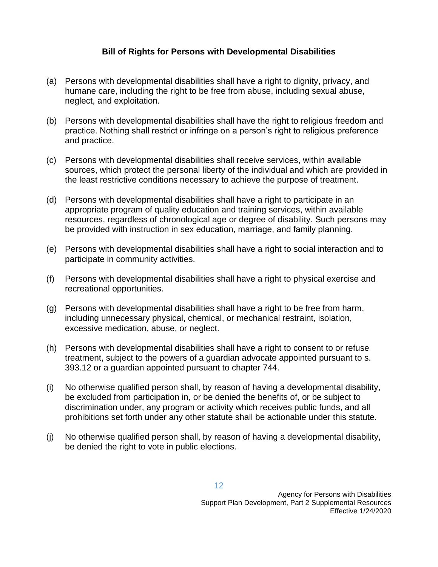#### **Bill of Rights for Persons with Developmental Disabilities**

- (a) Persons with developmental disabilities shall have a right to dignity, privacy, and humane care, including the right to be free from abuse, including sexual abuse, neglect, and exploitation.
- (b) Persons with developmental disabilities shall have the right to religious freedom and practice. Nothing shall restrict or infringe on a person's right to religious preference and practice.
- (c) Persons with developmental disabilities shall receive services, within available sources, which protect the personal liberty of the individual and which are provided in the least restrictive conditions necessary to achieve the purpose of treatment.
- (d) Persons with developmental disabilities shall have a right to participate in an appropriate program of quality education and training services, within available resources, regardless of chronological age or degree of disability. Such persons may be provided with instruction in sex education, marriage, and family planning.
- (e) Persons with developmental disabilities shall have a right to social interaction and to participate in community activities.
- (f) Persons with developmental disabilities shall have a right to physical exercise and recreational opportunities.
- (g) Persons with developmental disabilities shall have a right to be free from harm, including unnecessary physical, chemical, or mechanical restraint, isolation, excessive medication, abuse, or neglect.
- (h) Persons with developmental disabilities shall have a right to consent to or refuse treatment, subject to the powers of a guardian advocate appointed pursuant to s. 393.12 or a guardian appointed pursuant to chapter 744.
- (i) No otherwise qualified person shall, by reason of having a developmental disability, be excluded from participation in, or be denied the benefits of, or be subject to discrimination under, any program or activity which receives public funds, and all prohibitions set forth under any other statute shall be actionable under this statute.
- (j) No otherwise qualified person shall, by reason of having a developmental disability, be denied the right to vote in public elections.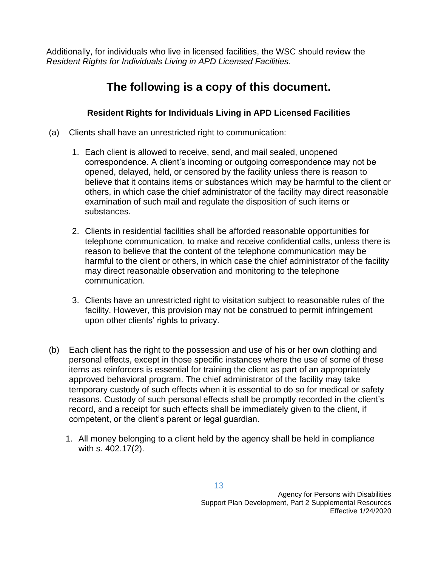Additionally, for individuals who live in licensed facilities, the WSC should review the *Resident Rights for Individuals Living in APD Licensed Facilities.* 

# **The following is a copy of this document.**

#### **Resident Rights for Individuals Living in APD Licensed Facilities**

- (a) Clients shall have an unrestricted right to communication:
	- 1. Each client is allowed to receive, send, and mail sealed, unopened correspondence. A client's incoming or outgoing correspondence may not be opened, delayed, held, or censored by the facility unless there is reason to believe that it contains items or substances which may be harmful to the client or others, in which case the chief administrator of the facility may direct reasonable examination of such mail and regulate the disposition of such items or substances.
	- 2. Clients in residential facilities shall be afforded reasonable opportunities for telephone communication, to make and receive confidential calls, unless there is reason to believe that the content of the telephone communication may be harmful to the client or others, in which case the chief administrator of the facility may direct reasonable observation and monitoring to the telephone communication.
	- 3. Clients have an unrestricted right to visitation subject to reasonable rules of the facility. However, this provision may not be construed to permit infringement upon other clients' rights to privacy.
- (b) Each client has the right to the possession and use of his or her own clothing and personal effects, except in those specific instances where the use of some of these items as reinforcers is essential for training the client as part of an appropriately approved behavioral program. The chief administrator of the facility may take temporary custody of such effects when it is essential to do so for medical or safety reasons. Custody of such personal effects shall be promptly recorded in the client's record, and a receipt for such effects shall be immediately given to the client, if competent, or the client's parent or legal guardian.
	- 1. All money belonging to a client held by the agency shall be held in compliance with s. 402.17(2).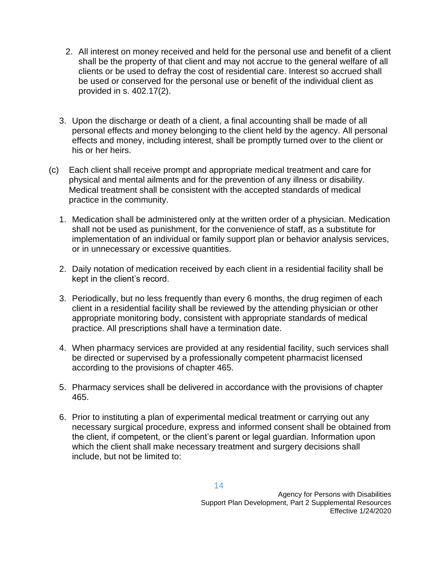- 2. All interest on money received and held for the personal use and benefit of a client shall be the property of that client and may not accrue to the general welfare of all clients or be used to defray the cost of residential care. Interest so accrued shall be used or conserved for the personal use or benefit of the individual client as provided in s. 402.17(2).
- 3. Upon the discharge or death of a client, a final accounting shall be made of all personal effects and money belonging to the client held by the agency. All personal effects and money, including interest, shall be promptly turned over to the client or his or her heirs.
- (c) Each client shall receive prompt and appropriate medical treatment and care for physical and mental ailments and for the prevention of any illness or disability. Medical treatment shall be consistent with the accepted standards of medical practice in the community.
	- 1. Medication shall be administered only at the written order of a physician. Medication shall not be used as punishment, for the convenience of staff, as a substitute for implementation of an individual or family support plan or behavior analysis services, or in unnecessary or excessive quantities.
	- 2. Daily notation of medication received by each client in a residential facility shall be kept in the client's record.
	- 3. Periodically, but no less frequently than every 6 months, the drug regimen of each client in a residential facility shall be reviewed by the attending physician or other appropriate monitoring body, consistent with appropriate standards of medical practice. All prescriptions shall have a termination date.
	- 4. When pharmacy services are provided at any residential facility, such services shall be directed or supervised by a professionally competent pharmacist licensed according to the provisions of chapter 465.
	- 5. Pharmacy services shall be delivered in accordance with the provisions of chapter 465.
	- 6. Prior to instituting a plan of experimental medical treatment or carrying out any necessary surgical procedure, express and informed consent shall be obtained from the client, if competent, or the client's parent or legal guardian. Information upon which the client shall make necessary treatment and surgery decisions shall include, but not be limited to: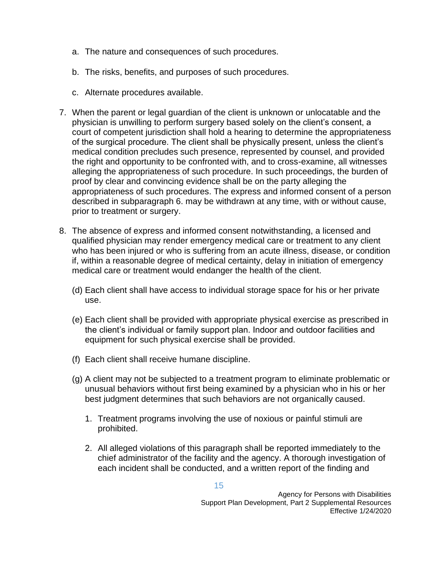- a. The nature and consequences of such procedures.
- b. The risks, benefits, and purposes of such procedures.
- c. Alternate procedures available.
- 7. When the parent or legal guardian of the client is unknown or unlocatable and the physician is unwilling to perform surgery based solely on the client's consent, a court of competent jurisdiction shall hold a hearing to determine the appropriateness of the surgical procedure. The client shall be physically present, unless the client's medical condition precludes such presence, represented by counsel, and provided the right and opportunity to be confronted with, and to cross-examine, all witnesses alleging the appropriateness of such procedure. In such proceedings, the burden of proof by clear and convincing evidence shall be on the party alleging the appropriateness of such procedures. The express and informed consent of a person described in subparagraph 6. may be withdrawn at any time, with or without cause, prior to treatment or surgery.
- 8. The absence of express and informed consent notwithstanding, a licensed and qualified physician may render emergency medical care or treatment to any client who has been injured or who is suffering from an acute illness, disease, or condition if, within a reasonable degree of medical certainty, delay in initiation of emergency medical care or treatment would endanger the health of the client.
	- (d) Each client shall have access to individual storage space for his or her private use.
	- (e) Each client shall be provided with appropriate physical exercise as prescribed in the client's individual or family support plan. Indoor and outdoor facilities and equipment for such physical exercise shall be provided.
	- (f) Each client shall receive humane discipline.
	- (g) A client may not be subjected to a treatment program to eliminate problematic or unusual behaviors without first being examined by a physician who in his or her best judgment determines that such behaviors are not organically caused.
		- 1. Treatment programs involving the use of noxious or painful stimuli are prohibited.
		- 2. All alleged violations of this paragraph shall be reported immediately to the chief administrator of the facility and the agency. A thorough investigation of each incident shall be conducted, and a written report of the finding and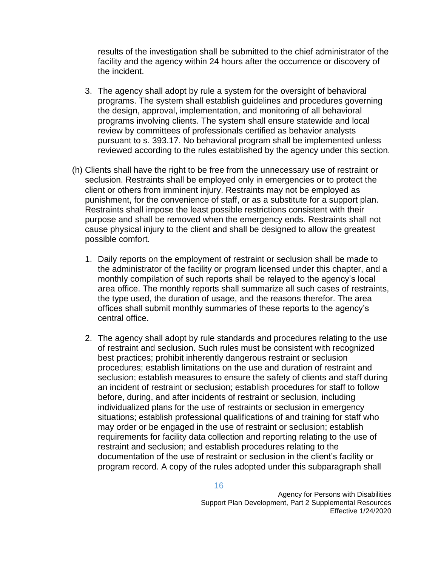results of the investigation shall be submitted to the chief administrator of the facility and the agency within 24 hours after the occurrence or discovery of the incident.

- 3. The agency shall adopt by rule a system for the oversight of behavioral programs. The system shall establish guidelines and procedures governing the design, approval, implementation, and monitoring of all behavioral programs involving clients. The system shall ensure statewide and local review by committees of professionals certified as behavior analysts pursuant to s. 393.17. No behavioral program shall be implemented unless reviewed according to the rules established by the agency under this section.
- (h) Clients shall have the right to be free from the unnecessary use of restraint or seclusion. Restraints shall be employed only in emergencies or to protect the client or others from imminent injury. Restraints may not be employed as punishment, for the convenience of staff, or as a substitute for a support plan. Restraints shall impose the least possible restrictions consistent with their purpose and shall be removed when the emergency ends. Restraints shall not cause physical injury to the client and shall be designed to allow the greatest possible comfort.
	- 1. Daily reports on the employment of restraint or seclusion shall be made to the administrator of the facility or program licensed under this chapter, and a monthly compilation of such reports shall be relayed to the agency's local area office. The monthly reports shall summarize all such cases of restraints, the type used, the duration of usage, and the reasons therefor. The area offices shall submit monthly summaries of these reports to the agency's central office.
	- 2. The agency shall adopt by rule standards and procedures relating to the use of restraint and seclusion. Such rules must be consistent with recognized best practices; prohibit inherently dangerous restraint or seclusion procedures; establish limitations on the use and duration of restraint and seclusion; establish measures to ensure the safety of clients and staff during an incident of restraint or seclusion; establish procedures for staff to follow before, during, and after incidents of restraint or seclusion, including individualized plans for the use of restraints or seclusion in emergency situations; establish professional qualifications of and training for staff who may order or be engaged in the use of restraint or seclusion; establish requirements for facility data collection and reporting relating to the use of restraint and seclusion; and establish procedures relating to the documentation of the use of restraint or seclusion in the client's facility or program record. A copy of the rules adopted under this subparagraph shall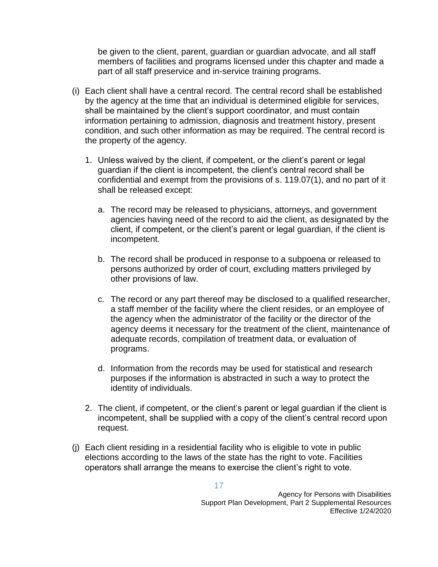be given to the client, parent, guardian or guardian advocate, and all staff members of facilities and programs licensed under this chapter and made a part of all staff preservice and in-service training programs.

- (i) Each client shall have a central record. The central record shall be established by the agency at the time that an individual is determined eligible for services, shall be maintained by the client's support coordinator, and must contain information pertaining to admission, diagnosis and treatment history, present condition, and such other information as may be required. The central record is the property of the agency.
	- 1. Unless waived by the client, if competent, or the client's parent or legal guardian if the client is incompetent, the client's central record shall be confidential and exempt from the provisions of s. 119.07(1), and no part of it shall be released except:
		- a. The record may be released to physicians, attorneys, and government agencies having need of the record to aid the client, as designated by the client, if competent, or the client's parent or legal guardian, if the client is incompetent.
		- b. The record shall be produced in response to a subpoena or released to persons authorized by order of court, excluding matters privileged by other provisions of law.
		- c. The record or any part thereof may be disclosed to a qualified researcher, a staff member of the facility where the client resides, or an employee of the agency when the administrator of the facility or the director of the agency deems it necessary for the treatment of the client, maintenance of adequate records, compilation of treatment data, or evaluation of programs.
		- d. Information from the records may be used for statistical and research purposes if the information is abstracted in such a way to protect the identity of individuals.
	- 2. The client, if competent, or the client's parent or legal guardian if the client is incompetent, shall be supplied with a copy of the client's central record upon request.
- (j) Each client residing in a residential facility who is eligible to vote in public elections according to the laws of the state has the right to vote. Facilities operators shall arrange the means to exercise the client's right to vote.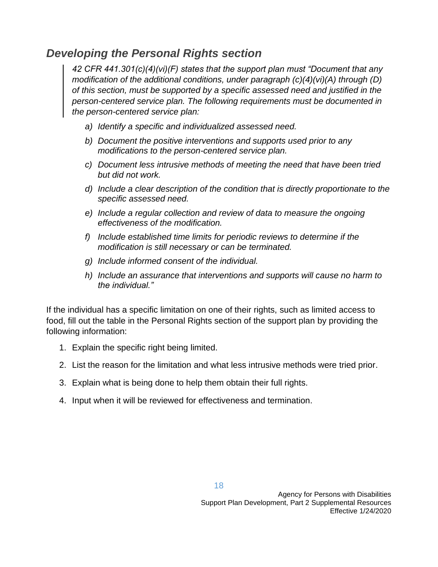### *Developing the Personal Rights section*

*42 CFR 441.301(c)(4)(vi)(F) states that the support plan must "Document that any modification of the additional conditions, under paragraph (c)(4)(vi)(A) through (D) of this section, must be supported by a specific assessed need and justified in the person-centered service plan. The following requirements must be documented in the person-centered service plan:* 

- *a) Identify a specific and individualized assessed need.*
- *b) Document the positive interventions and supports used prior to any modifications to the person-centered service plan.*
- *c) Document less intrusive methods of meeting the need that have been tried but did not work.*
- *d) Include a clear description of the condition that is directly proportionate to the specific assessed need.*
- *e) Include a regular collection and review of data to measure the ongoing effectiveness of the modification.*
- *f) Include established time limits for periodic reviews to determine if the modification is still necessary or can be terminated.*
- *g) Include informed consent of the individual.*
- *h) Include an assurance that interventions and supports will cause no harm to the individual."*

If the individual has a specific limitation on one of their rights, such as limited access to food, fill out the table in the Personal Rights section of the support plan by providing the following information:

- 1. Explain the specific right being limited.
- 2. List the reason for the limitation and what less intrusive methods were tried prior.
- 3. Explain what is being done to help them obtain their full rights.
- 4. Input when it will be reviewed for effectiveness and termination.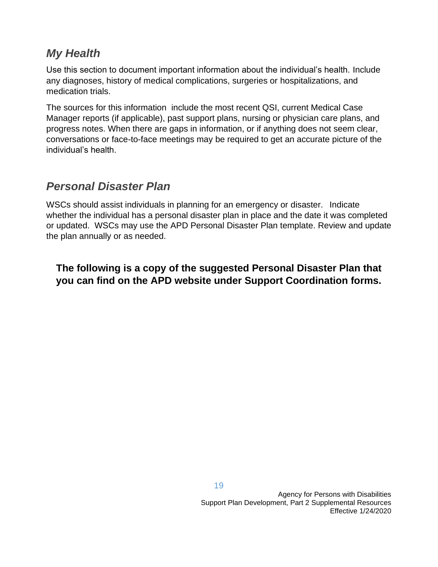### *My Health*

Use this section to document important information about the individual's health. Include any diagnoses, history of medical complications, surgeries or hospitalizations, and medication trials.

The sources for this information include the most recent QSI, current Medical Case Manager reports (if applicable), past support plans, nursing or physician care plans, and progress notes. When there are gaps in information, or if anything does not seem clear, conversations or face-to-face meetings may be required to get an accurate picture of the individual's health.

### *Personal Disaster Plan*

WSCs should assist individuals in planning for an emergency or disaster. Indicate whether the individual has a personal disaster plan in place and the date it was completed or updated. WSCs may use the APD Personal Disaster Plan template. Review and update the plan annually or as needed.

**The following is a copy of the suggested Personal Disaster Plan that you can find on the APD website under Support Coordination forms.**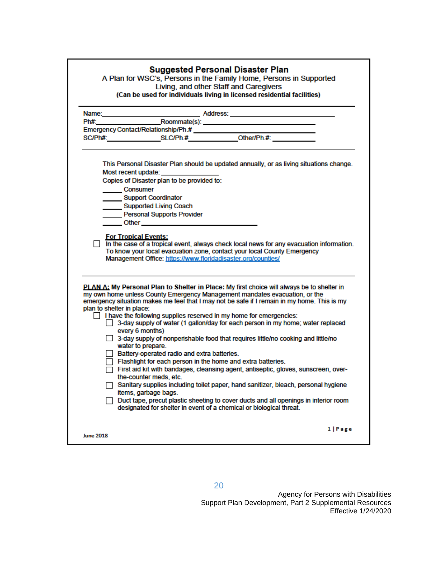|                           | Emergency Contact/Relationship/Ph.#<br>SC/Ph#: SLC/Ph.# Other/Ph.#                                                                                                                                                                                                 |
|---------------------------|--------------------------------------------------------------------------------------------------------------------------------------------------------------------------------------------------------------------------------------------------------------------|
|                           |                                                                                                                                                                                                                                                                    |
|                           | This Personal Disaster Plan should be updated annually, or as living situations change.                                                                                                                                                                            |
|                           | Most recent update: ________________                                                                                                                                                                                                                               |
|                           | Copies of Disaster plan to be provided to:                                                                                                                                                                                                                         |
|                           | Consumer                                                                                                                                                                                                                                                           |
|                           | Support Coordinator                                                                                                                                                                                                                                                |
|                           | Supported Living Coach                                                                                                                                                                                                                                             |
|                           | Personal Supports Provider                                                                                                                                                                                                                                         |
|                           | Other Charles Communication of the Communication of the Communication of the Communication of the Communication                                                                                                                                                    |
|                           | <b>For Tropical Events:</b><br>In the case of a tropical event, always check local news for any evacuation information.<br>To know your local evacuation zone, contact your local County Emergency<br>Management Office: https://www.floridadisaster.org/counties/ |
|                           |                                                                                                                                                                                                                                                                    |
|                           | PLAN A: My Personal Plan to Shelter in Place: My first choice will always be to shelter in<br>my own home unless County Emergency Management mandates evacuation, or the                                                                                           |
|                           | emergency situation makes me feel that I may not be safe if I remain in my home. This is my                                                                                                                                                                        |
|                           | I have the following supplies reserved in my home for emergencies:                                                                                                                                                                                                 |
|                           | 3-day supply of water (1 gallon/day for each person in my home; water replaced<br>every 6 months)                                                                                                                                                                  |
|                           | □ 3-day supply of nonperishable food that requires little/no cooking and little/no                                                                                                                                                                                 |
|                           | water to prepare.<br>Battery-operated radio and extra batteries.                                                                                                                                                                                                   |
|                           | $\Box$ Flashlight for each person in the home and extra batteries.                                                                                                                                                                                                 |
|                           | First aid kit with bandages, cleansing agent, antiseptic, gloves, sunscreen, over-                                                                                                                                                                                 |
|                           | the-counter meds, etc.                                                                                                                                                                                                                                             |
|                           | Sanitary supplies including toilet paper, hand sanitizer, bleach, personal hygiene                                                                                                                                                                                 |
| plan to shelter in place: | items, garbage bags.<br>$\Box$ Duct tape, precut plastic sheeting to cover ducts and all openings in interior room                                                                                                                                                 |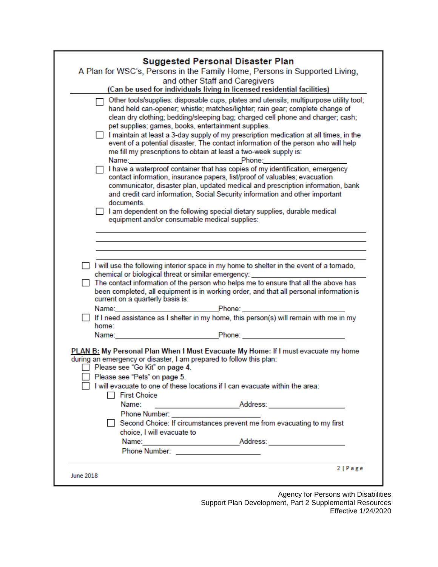| and other Staff and Caregivers                                                                                                                                                                                                                                                                                                                                                                                                                                                                                                                                                                                                                                                                                                                                                                                                                                                                                                        |
|---------------------------------------------------------------------------------------------------------------------------------------------------------------------------------------------------------------------------------------------------------------------------------------------------------------------------------------------------------------------------------------------------------------------------------------------------------------------------------------------------------------------------------------------------------------------------------------------------------------------------------------------------------------------------------------------------------------------------------------------------------------------------------------------------------------------------------------------------------------------------------------------------------------------------------------|
| (Can be used for individuals living in licensed residential facilities)                                                                                                                                                                                                                                                                                                                                                                                                                                                                                                                                                                                                                                                                                                                                                                                                                                                               |
| □ Other tools/supplies: disposable cups, plates and utensils; multipurpose utility tool;<br>hand held can-opener; whistle; matches/lighter; rain gear; complete change of<br>clean dry clothing; bedding/sleeping bag; charged cell phone and charger; cash;<br>pet supplies; games, books, entertainment supplies.<br>$\Box$ I maintain at least a 3-day supply of my prescription medication at all times, in the<br>event of a potential disaster. The contact information of the person who will help<br>me fill my prescriptions to obtain at least a two-week supply is:<br>$\Box$ I have a waterproof container that has copies of my identification, emergency<br>contact information, insurance papers, list/proof of valuables; evacuation<br>communicator, disaster plan, updated medical and prescription information, bank<br>and credit card information, Social Security information and other important<br>documents. |
| $\Box$ I am dependent on the following special dietary supplies, durable medical                                                                                                                                                                                                                                                                                                                                                                                                                                                                                                                                                                                                                                                                                                                                                                                                                                                      |
| equipment and/or consumable medical supplies:                                                                                                                                                                                                                                                                                                                                                                                                                                                                                                                                                                                                                                                                                                                                                                                                                                                                                         |
|                                                                                                                                                                                                                                                                                                                                                                                                                                                                                                                                                                                                                                                                                                                                                                                                                                                                                                                                       |
|                                                                                                                                                                                                                                                                                                                                                                                                                                                                                                                                                                                                                                                                                                                                                                                                                                                                                                                                       |
|                                                                                                                                                                                                                                                                                                                                                                                                                                                                                                                                                                                                                                                                                                                                                                                                                                                                                                                                       |
|                                                                                                                                                                                                                                                                                                                                                                                                                                                                                                                                                                                                                                                                                                                                                                                                                                                                                                                                       |
|                                                                                                                                                                                                                                                                                                                                                                                                                                                                                                                                                                                                                                                                                                                                                                                                                                                                                                                                       |
| I will use the following interior space in my home to shelter in the event of a tornado,<br>chemical or biological threat or similar emergency: ____________________________                                                                                                                                                                                                                                                                                                                                                                                                                                                                                                                                                                                                                                                                                                                                                          |
| The contact information of the person who helps me to ensure that all the above has<br>been completed, all equipment is in working order, and that all personal information is<br>current on a quarterly basis is:                                                                                                                                                                                                                                                                                                                                                                                                                                                                                                                                                                                                                                                                                                                    |
|                                                                                                                                                                                                                                                                                                                                                                                                                                                                                                                                                                                                                                                                                                                                                                                                                                                                                                                                       |
| □ If I need assistance as I shelter in my home, this person(s) will remain with me in my                                                                                                                                                                                                                                                                                                                                                                                                                                                                                                                                                                                                                                                                                                                                                                                                                                              |
| home:                                                                                                                                                                                                                                                                                                                                                                                                                                                                                                                                                                                                                                                                                                                                                                                                                                                                                                                                 |
| Name: Phone: Phone: Phone: Phone: Phone: Phone: Phone: Phone: Phone: Phone: Phone: Phone: Phone: Phone: Phone: Phone: Phone: Phone: Phone: Phone: Phone: Phone: Phone: Phone: Phone: Phone: Phone: Phone: Phone: Phone: Phone:                                                                                                                                                                                                                                                                                                                                                                                                                                                                                                                                                                                                                                                                                                        |
| PLAN B: My Personal Plan When I Must Evacuate My Home: If I must evacuate my home<br>during an emergency or disaster, I am prepared to follow this plan:<br>Please see "Go Kit" on page 4.<br>Please see "Pets" on page 5.<br>I will evacuate to one of these locations if I can evacuate within the area:                                                                                                                                                                                                                                                                                                                                                                                                                                                                                                                                                                                                                            |
| □ First Choice                                                                                                                                                                                                                                                                                                                                                                                                                                                                                                                                                                                                                                                                                                                                                                                                                                                                                                                        |
| Name:                                                                                                                                                                                                                                                                                                                                                                                                                                                                                                                                                                                                                                                                                                                                                                                                                                                                                                                                 |
| Phone Number: _________________________                                                                                                                                                                                                                                                                                                                                                                                                                                                                                                                                                                                                                                                                                                                                                                                                                                                                                               |
| Second Choice: If circumstances prevent me from evacuating to my first                                                                                                                                                                                                                                                                                                                                                                                                                                                                                                                                                                                                                                                                                                                                                                                                                                                                |
| choice, I will evacuate to                                                                                                                                                                                                                                                                                                                                                                                                                                                                                                                                                                                                                                                                                                                                                                                                                                                                                                            |
|                                                                                                                                                                                                                                                                                                                                                                                                                                                                                                                                                                                                                                                                                                                                                                                                                                                                                                                                       |
|                                                                                                                                                                                                                                                                                                                                                                                                                                                                                                                                                                                                                                                                                                                                                                                                                                                                                                                                       |
|                                                                                                                                                                                                                                                                                                                                                                                                                                                                                                                                                                                                                                                                                                                                                                                                                                                                                                                                       |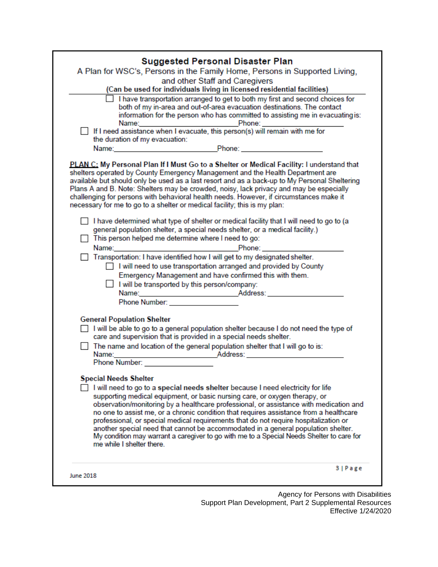|           | <b>Suggested Personal Disaster Plan</b>                                                                                                                                                                                                                                                                                                                                                                                                                                                                                                                                                                                                                  |
|-----------|----------------------------------------------------------------------------------------------------------------------------------------------------------------------------------------------------------------------------------------------------------------------------------------------------------------------------------------------------------------------------------------------------------------------------------------------------------------------------------------------------------------------------------------------------------------------------------------------------------------------------------------------------------|
|           | A Plan for WSC's, Persons in the Family Home, Persons in Supported Living,                                                                                                                                                                                                                                                                                                                                                                                                                                                                                                                                                                               |
|           | and other Staff and Caregivers                                                                                                                                                                                                                                                                                                                                                                                                                                                                                                                                                                                                                           |
|           | (Can be used for individuals living in licensed residential facilities)                                                                                                                                                                                                                                                                                                                                                                                                                                                                                                                                                                                  |
|           | I have transportation arranged to get to both my first and second choices for<br>both of my in-area and out-of-area evacuation destinations. The contact<br>information for the person who has committed to assisting me in evacuating is:                                                                                                                                                                                                                                                                                                                                                                                                               |
|           | Name:<br>If I need assistance when I evacuate, this person(s) will remain with me for                                                                                                                                                                                                                                                                                                                                                                                                                                                                                                                                                                    |
|           | the duration of my evacuation:                                                                                                                                                                                                                                                                                                                                                                                                                                                                                                                                                                                                                           |
|           | Name: Name Phone: Name Phone: Name Phone: Name Phone: Name Phone: Name Phone: Name Phone: Name Phone: Name Phone: Name Phone: Name Phone: Name Phone: Name Phone: Name Phone: Name Phone: Name Phone: Name Phone: Name Phone:                                                                                                                                                                                                                                                                                                                                                                                                                            |
|           | PLAN C: My Personal Plan If I Must Go to a Shelter or Medical Facility: I understand that<br>shelters operated by County Emergency Management and the Health Department are<br>available but should only be used as a last resort and as a back-up to My Personal Sheltering<br>Plans A and B. Note: Shelters may be crowded, noisy, lack privacy and may be especially<br>challenging for persons with behavioral health needs. However, if circumstances make it<br>necessary for me to go to a shelter or medical facility; this is my plan:                                                                                                          |
|           | $\Box$ I have determined what type of shelter or medical facility that I will need to go to (a                                                                                                                                                                                                                                                                                                                                                                                                                                                                                                                                                           |
|           | general population shelter, a special needs shelter, or a medical facility.)                                                                                                                                                                                                                                                                                                                                                                                                                                                                                                                                                                             |
|           | This person helped me determine where I need to go:                                                                                                                                                                                                                                                                                                                                                                                                                                                                                                                                                                                                      |
|           |                                                                                                                                                                                                                                                                                                                                                                                                                                                                                                                                                                                                                                                          |
|           | Transportation: I have identified how I will get to my designated shelter.<br>I will need to use transportation arranged and provided by County<br>Emergency Management and have confirmed this with them.<br>I will be transported by this person/company:                                                                                                                                                                                                                                                                                                                                                                                              |
|           | Phone Number: New York Street, New York Street, New York Street, New York Street, New York Street, New York Street, New York Street, New York Street, New York Street, New York Street, New York Street, New York Street, New                                                                                                                                                                                                                                                                                                                                                                                                                            |
|           | <b>General Population Shelter</b><br>$\Box$ I will be able to go to a general population shelter because I do not need the type of<br>care and supervision that is provided in a special needs shelter.                                                                                                                                                                                                                                                                                                                                                                                                                                                  |
|           | $\Box$ The name and location of the general population shelter that I will go to is:<br>Name: Address:                                                                                                                                                                                                                                                                                                                                                                                                                                                                                                                                                   |
|           | Phone Number:                                                                                                                                                                                                                                                                                                                                                                                                                                                                                                                                                                                                                                            |
|           | <b>Special Needs Shelter</b>                                                                                                                                                                                                                                                                                                                                                                                                                                                                                                                                                                                                                             |
|           | I will need to go to a special needs shelter because I need electricity for life<br>supporting medical equipment, or basic nursing care, or oxygen therapy, or<br>observation/monitoring by a healthcare professional, or assistance with medication and<br>no one to assist me, or a chronic condition that requires assistance from a healthcare<br>professional, or special medical requirements that do not require hospitalization or<br>another special need that cannot be accommodated in a general population shelter.<br>My condition may warrant a caregiver to go with me to a Special Needs Shelter to care for<br>me while I shelter there |
| June 2018 | 3   Page                                                                                                                                                                                                                                                                                                                                                                                                                                                                                                                                                                                                                                                 |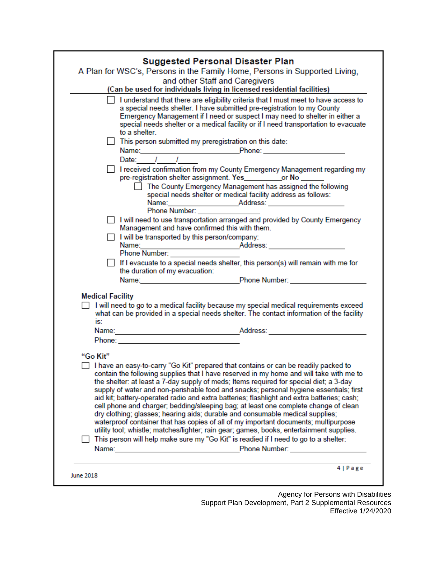| and other Staff and Caregivers<br>(Can be used for individuals living in licensed residential facilities)<br>I understand that there are eligibility criteria that I must meet to have access to<br>a special needs shelter. I have submitted pre-registration to my County<br>Emergency Management if I need or suspect I may need to shelter in either a<br>special needs shelter or a medical facility or if I need transportation to evacuate<br>to a shelter.<br>This person submitted my preregistration on this date:<br>Name: Phone: 2008 2014 2014 2015 2016 2017 2020 2021 2021 2022 2021 2022 2021 2022 2023 2024 2022 2022 2023 20<br>Date: $1$<br>I received confirmation from my County Emergency Management regarding my<br>pre-registration shelter assignment. Yes____________or No ______<br>The County Emergency Management has assigned the following<br>special needs shelter or medical facility address as follows:<br>Phone Number: ________<br>I will need to use transportation arranged and provided by County Emergency<br>Management and have confirmed this with them.<br>I will be transported by this person/company:<br>Phone Number:<br>If I evacuate to a special needs shelter, this person(s) will remain with me for<br>the duration of my evacuation:<br>Name: Name: Name: Name: Name: Name: Name: Name: Name: Name: Name: Name: Name: Name: Name: Name: Name: Name: Name: Name: Name: Name: Name: Name: Name: Name: Name: Name: Name: Name: Name: Name: Name: Name: Name: Name: Name:<br><b>Medical Facility</b><br>$\Box$ I will need to go to a medical facility because my special medical requirements exceed<br>what can be provided in a special needs shelter. The contact information of the facility<br>is:<br>Name: Name: Name: Name: Name: Name: Name: Name: Name: Name: Name: Name: Name: Name: Name: Name: Name: Name: Name: Name: Name: Name: Name: Name: Name: Name: Name: Name: Name: Name: Name: Name: Name: Name: Name: Name: Name:<br>"Go Kit"<br>$\Box$ I have an easy-to-carry "Go Kit" prepared that contains or can be readily packed to<br>contain the following supplies that I have reserved in my home and will take with me to<br>the shelter: at least a 7-day supply of meds; Items required for special diet; a 3-day<br>supply of water and non-perishable food and snacks; personal hygiene essentials; first<br>aid kit; battery-operated radio and extra batteries; flashlight and extra batteries; cash;<br>cell phone and charger; bedding/sleeping bag; at least one complete change of clean<br>dry clothing; glasses; hearing aids; durable and consumable medical supplies;<br>waterproof container that has copies of all of my important documents; multipurpose<br>utility tool; whistle; matches/lighter; rain gear; games, books, entertainment supplies.<br>This person will help make sure my "Go Kit" is readied if I need to go to a shelter:<br>Name: Name: Name: Name: Name: Name: Name: Name: Name: Name: Name: Name: Name: Name: Name: Name: Name: Name: Name: Name: Name: Name: Name: Name: Name: Name: Name: Name: Name: Name: Name: Name: Name: Name: Name: Name: Name: | <b>Suggested Personal Disaster Plan</b> | A Plan for WSC's, Persons in the Family Home, Persons in Supported Living, |
|--------------------------------------------------------------------------------------------------------------------------------------------------------------------------------------------------------------------------------------------------------------------------------------------------------------------------------------------------------------------------------------------------------------------------------------------------------------------------------------------------------------------------------------------------------------------------------------------------------------------------------------------------------------------------------------------------------------------------------------------------------------------------------------------------------------------------------------------------------------------------------------------------------------------------------------------------------------------------------------------------------------------------------------------------------------------------------------------------------------------------------------------------------------------------------------------------------------------------------------------------------------------------------------------------------------------------------------------------------------------------------------------------------------------------------------------------------------------------------------------------------------------------------------------------------------------------------------------------------------------------------------------------------------------------------------------------------------------------------------------------------------------------------------------------------------------------------------------------------------------------------------------------------------------------------------------------------------------------------------------------------------------------------------------------------------------------------------------------------------------------------------------------------------------------------------------------------------------------------------------------------------------------------------------------------------------------------------------------------------------------------------------------------------------------------------------------------------------------------------------------------------------------------------------------------------------------------------------------------------------------------------------------------------------------------------------------------------------------------------------------------------------------------------------------------------------------------------------------------------------------------------------------------------------------------------------------------------------------------------------------------------------------------------------------------------------------------------------------------------------------------------------------------------------------|-----------------------------------------|----------------------------------------------------------------------------|
|                                                                                                                                                                                                                                                                                                                                                                                                                                                                                                                                                                                                                                                                                                                                                                                                                                                                                                                                                                                                                                                                                                                                                                                                                                                                                                                                                                                                                                                                                                                                                                                                                                                                                                                                                                                                                                                                                                                                                                                                                                                                                                                                                                                                                                                                                                                                                                                                                                                                                                                                                                                                                                                                                                                                                                                                                                                                                                                                                                                                                                                                                                                                                                          |                                         |                                                                            |
|                                                                                                                                                                                                                                                                                                                                                                                                                                                                                                                                                                                                                                                                                                                                                                                                                                                                                                                                                                                                                                                                                                                                                                                                                                                                                                                                                                                                                                                                                                                                                                                                                                                                                                                                                                                                                                                                                                                                                                                                                                                                                                                                                                                                                                                                                                                                                                                                                                                                                                                                                                                                                                                                                                                                                                                                                                                                                                                                                                                                                                                                                                                                                                          |                                         |                                                                            |
|                                                                                                                                                                                                                                                                                                                                                                                                                                                                                                                                                                                                                                                                                                                                                                                                                                                                                                                                                                                                                                                                                                                                                                                                                                                                                                                                                                                                                                                                                                                                                                                                                                                                                                                                                                                                                                                                                                                                                                                                                                                                                                                                                                                                                                                                                                                                                                                                                                                                                                                                                                                                                                                                                                                                                                                                                                                                                                                                                                                                                                                                                                                                                                          |                                         |                                                                            |
|                                                                                                                                                                                                                                                                                                                                                                                                                                                                                                                                                                                                                                                                                                                                                                                                                                                                                                                                                                                                                                                                                                                                                                                                                                                                                                                                                                                                                                                                                                                                                                                                                                                                                                                                                                                                                                                                                                                                                                                                                                                                                                                                                                                                                                                                                                                                                                                                                                                                                                                                                                                                                                                                                                                                                                                                                                                                                                                                                                                                                                                                                                                                                                          |                                         |                                                                            |
|                                                                                                                                                                                                                                                                                                                                                                                                                                                                                                                                                                                                                                                                                                                                                                                                                                                                                                                                                                                                                                                                                                                                                                                                                                                                                                                                                                                                                                                                                                                                                                                                                                                                                                                                                                                                                                                                                                                                                                                                                                                                                                                                                                                                                                                                                                                                                                                                                                                                                                                                                                                                                                                                                                                                                                                                                                                                                                                                                                                                                                                                                                                                                                          |                                         |                                                                            |
|                                                                                                                                                                                                                                                                                                                                                                                                                                                                                                                                                                                                                                                                                                                                                                                                                                                                                                                                                                                                                                                                                                                                                                                                                                                                                                                                                                                                                                                                                                                                                                                                                                                                                                                                                                                                                                                                                                                                                                                                                                                                                                                                                                                                                                                                                                                                                                                                                                                                                                                                                                                                                                                                                                                                                                                                                                                                                                                                                                                                                                                                                                                                                                          |                                         |                                                                            |
|                                                                                                                                                                                                                                                                                                                                                                                                                                                                                                                                                                                                                                                                                                                                                                                                                                                                                                                                                                                                                                                                                                                                                                                                                                                                                                                                                                                                                                                                                                                                                                                                                                                                                                                                                                                                                                                                                                                                                                                                                                                                                                                                                                                                                                                                                                                                                                                                                                                                                                                                                                                                                                                                                                                                                                                                                                                                                                                                                                                                                                                                                                                                                                          |                                         |                                                                            |
|                                                                                                                                                                                                                                                                                                                                                                                                                                                                                                                                                                                                                                                                                                                                                                                                                                                                                                                                                                                                                                                                                                                                                                                                                                                                                                                                                                                                                                                                                                                                                                                                                                                                                                                                                                                                                                                                                                                                                                                                                                                                                                                                                                                                                                                                                                                                                                                                                                                                                                                                                                                                                                                                                                                                                                                                                                                                                                                                                                                                                                                                                                                                                                          |                                         |                                                                            |
|                                                                                                                                                                                                                                                                                                                                                                                                                                                                                                                                                                                                                                                                                                                                                                                                                                                                                                                                                                                                                                                                                                                                                                                                                                                                                                                                                                                                                                                                                                                                                                                                                                                                                                                                                                                                                                                                                                                                                                                                                                                                                                                                                                                                                                                                                                                                                                                                                                                                                                                                                                                                                                                                                                                                                                                                                                                                                                                                                                                                                                                                                                                                                                          |                                         |                                                                            |
|                                                                                                                                                                                                                                                                                                                                                                                                                                                                                                                                                                                                                                                                                                                                                                                                                                                                                                                                                                                                                                                                                                                                                                                                                                                                                                                                                                                                                                                                                                                                                                                                                                                                                                                                                                                                                                                                                                                                                                                                                                                                                                                                                                                                                                                                                                                                                                                                                                                                                                                                                                                                                                                                                                                                                                                                                                                                                                                                                                                                                                                                                                                                                                          |                                         |                                                                            |
|                                                                                                                                                                                                                                                                                                                                                                                                                                                                                                                                                                                                                                                                                                                                                                                                                                                                                                                                                                                                                                                                                                                                                                                                                                                                                                                                                                                                                                                                                                                                                                                                                                                                                                                                                                                                                                                                                                                                                                                                                                                                                                                                                                                                                                                                                                                                                                                                                                                                                                                                                                                                                                                                                                                                                                                                                                                                                                                                                                                                                                                                                                                                                                          |                                         |                                                                            |
|                                                                                                                                                                                                                                                                                                                                                                                                                                                                                                                                                                                                                                                                                                                                                                                                                                                                                                                                                                                                                                                                                                                                                                                                                                                                                                                                                                                                                                                                                                                                                                                                                                                                                                                                                                                                                                                                                                                                                                                                                                                                                                                                                                                                                                                                                                                                                                                                                                                                                                                                                                                                                                                                                                                                                                                                                                                                                                                                                                                                                                                                                                                                                                          |                                         |                                                                            |
|                                                                                                                                                                                                                                                                                                                                                                                                                                                                                                                                                                                                                                                                                                                                                                                                                                                                                                                                                                                                                                                                                                                                                                                                                                                                                                                                                                                                                                                                                                                                                                                                                                                                                                                                                                                                                                                                                                                                                                                                                                                                                                                                                                                                                                                                                                                                                                                                                                                                                                                                                                                                                                                                                                                                                                                                                                                                                                                                                                                                                                                                                                                                                                          |                                         |                                                                            |
|                                                                                                                                                                                                                                                                                                                                                                                                                                                                                                                                                                                                                                                                                                                                                                                                                                                                                                                                                                                                                                                                                                                                                                                                                                                                                                                                                                                                                                                                                                                                                                                                                                                                                                                                                                                                                                                                                                                                                                                                                                                                                                                                                                                                                                                                                                                                                                                                                                                                                                                                                                                                                                                                                                                                                                                                                                                                                                                                                                                                                                                                                                                                                                          |                                         |                                                                            |
|                                                                                                                                                                                                                                                                                                                                                                                                                                                                                                                                                                                                                                                                                                                                                                                                                                                                                                                                                                                                                                                                                                                                                                                                                                                                                                                                                                                                                                                                                                                                                                                                                                                                                                                                                                                                                                                                                                                                                                                                                                                                                                                                                                                                                                                                                                                                                                                                                                                                                                                                                                                                                                                                                                                                                                                                                                                                                                                                                                                                                                                                                                                                                                          |                                         |                                                                            |
|                                                                                                                                                                                                                                                                                                                                                                                                                                                                                                                                                                                                                                                                                                                                                                                                                                                                                                                                                                                                                                                                                                                                                                                                                                                                                                                                                                                                                                                                                                                                                                                                                                                                                                                                                                                                                                                                                                                                                                                                                                                                                                                                                                                                                                                                                                                                                                                                                                                                                                                                                                                                                                                                                                                                                                                                                                                                                                                                                                                                                                                                                                                                                                          |                                         |                                                                            |
|                                                                                                                                                                                                                                                                                                                                                                                                                                                                                                                                                                                                                                                                                                                                                                                                                                                                                                                                                                                                                                                                                                                                                                                                                                                                                                                                                                                                                                                                                                                                                                                                                                                                                                                                                                                                                                                                                                                                                                                                                                                                                                                                                                                                                                                                                                                                                                                                                                                                                                                                                                                                                                                                                                                                                                                                                                                                                                                                                                                                                                                                                                                                                                          |                                         |                                                                            |
|                                                                                                                                                                                                                                                                                                                                                                                                                                                                                                                                                                                                                                                                                                                                                                                                                                                                                                                                                                                                                                                                                                                                                                                                                                                                                                                                                                                                                                                                                                                                                                                                                                                                                                                                                                                                                                                                                                                                                                                                                                                                                                                                                                                                                                                                                                                                                                                                                                                                                                                                                                                                                                                                                                                                                                                                                                                                                                                                                                                                                                                                                                                                                                          |                                         |                                                                            |
| 4   Page                                                                                                                                                                                                                                                                                                                                                                                                                                                                                                                                                                                                                                                                                                                                                                                                                                                                                                                                                                                                                                                                                                                                                                                                                                                                                                                                                                                                                                                                                                                                                                                                                                                                                                                                                                                                                                                                                                                                                                                                                                                                                                                                                                                                                                                                                                                                                                                                                                                                                                                                                                                                                                                                                                                                                                                                                                                                                                                                                                                                                                                                                                                                                                 |                                         |                                                                            |